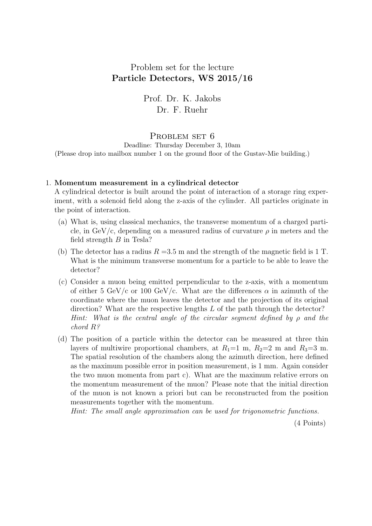# Problem set for the lecture Particle Detectors, WS 2015/16

Prof. Dr. K. Jakobs Dr. F. Ruehr

## PROBLEM SET 6

Deadline: Thursday December 3, 10am (Please drop into mailbox number 1 on the ground floor of the Gustav-Mie building.)

#### 1. Momentum measurement in a cylindrical detector

A cylindrical detector is built around the point of interaction of a storage ring experiment, with a solenoid field along the z-axis of the cylinder. All particles originate in the point of interaction.

- (a) What is, using classical mechanics, the transverse momentum of a charged particle, in GeV/c, depending on a measured radius of curvature  $\rho$  in meters and the field strength  $B$  in Tesla?
- (b) The detector has a radius  $R = 3.5$  m and the strength of the magnetic field is 1 T. What is the minimum transverse momentum for a particle to be able to leave the detector?
- (c) Consider a muon being emitted perpendicular to the z-axis, with a momentum of either 5 GeV/c or 100 GeV/c. What are the differences  $\alpha$  in azimuth of the coordinate where the muon leaves the detector and the projection of its original direction? What are the respective lengths  $L$  of the path through the detector? Hint: What is the central angle of the circular segment defined by  $\rho$  and the chord R?
- (d) The position of a particle within the detector can be measured at three thin layers of multiwire proportional chambers, at  $R_1=1$  m,  $R_2=2$  m and  $R_3=3$  m. The spatial resolution of the chambers along the azimuth direction, here defined as the maximum possible error in position measurement, is 1 mm. Again consider the two muon momenta from part c). What are the maximum relative errors on the momentum measurement of the muon? Please note that the initial direction of the muon is not known a priori but can be reconstructed from the position measurements together with the momentum.

Hint: The small angle approximation can be used for trigonometric functions.

(4 Points)